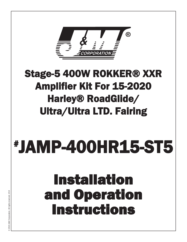

### Stage-5 400W ROKKER® XXR Amplifier Kit For 15-2020 Harley® RoadGlide/ Ultra/Ultra LTD. Fairing

## # JAMP-400HR15-ST5

# Installation and Operation **and Operation.<br>Instructions**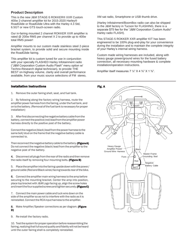### **Product Description**

This is the new J&M STAGE-5 ROKKER® XXR Custom 400w 2-channel amplifier kit for 2015-2020 Harley® RoadGlide or RoadGlide Ultra with the Harley 4.3 Std, 6.5GT or new GTS touch-screen radio.

Our in-fairing mounted 2 channel ROKKER XXR amplifier is rated @ 200w RMS per channel X 2 to provide up to 400w total RMS power!

Amplifier mounts to our custom made stainless steel 2-piece bracket system, to provide solid and secure mounting inside the RoadGlide fairing.

This amplifier kit is custom tuned for use in conjunction with your specially FLASHED Harley Infotainment radio ("J&M Corporation Custom Audio Flash" menu option w/ Techno-Research digital technician), to provide THE BEST on-highway volume, clarity and overall performance available, from your music source selections of FM stereo,

Installation Instructions

1. Remove the outer fairing shell, seat, and fuel tank.

2. By following along the factory wiring harness, route the amplifier power harness from the fairing, under the fuel tank, and on to the battery. (Removal of the fuel tank is necessary for proper installation)

3. Afterfirstdisconnectingthenegativebatterycablefromthe battery, connect the positive (red) lead from the amplifier power harness directly to the positive post of the battery.

Connectthenegative(black)leadfromthepowerharnesstothe same bolt/stud on the frame that the negative battery cable is connected to.

Then reconnect the negative battery cable to the battery. (Figure A) Do not connect the negative (black) lead from the amplifier to the negative post of the battery.

4. Disconnect all plugs from the rear of the radio and then remove the radio itself by removing four mounting bolts. (Figure B)

5. Placetheamplifierintothefairingupsidedownwiththepower/ ground cable (Red and Black wires) facing towards rear of the bike.

6. Connect the amplifier main wiring harness to the amp before securing to the mounting bracket. Center the amp into position, place top bracket with J&M Logo facing up, align the screw holes and insertthe four supplied screws and tighten securely. (Figure C)

7. Connect the main power cable and tuck wire down on the side of the amplifier so as not to interfere with the radio as it is reinstalled. Connect the RCA input harness to the amplifier.

8. Make Amplifier/Speaker connections as per diagram. (Figure D)

9. Re-install the factory radio.

10. Test the system for proper operation before reassembling the fairing, realizing that full sound quality and fidelity will not be heard until the outer fairing shell is completely reinstalled.

XM sat radio, Smartphone or USB thumb drive.

(Harley Infotainment/BoomBox radio can also be shipped to the J&M factory in Tucson for FLASHING, there is a separate \$75 fee for the "J&M Corporation Custom Audio" Harley radio FLASH).

This STAGE-5 ROKKER XXR amplifier KIT has been engineered to be 100% plug-and-play for your convenience during the installation and to maintain the complete integrity of your Harley's internal wiring harness.

Custom made wiring harnesses are included, along with heavy gauge power/ground wires for the fused battery connection, all necessary mounting hardware & complete installation/operation instructions.

Amplifier itself measures  $7\frac{1}{4}$   $\times$   $4\frac{3}{4}$   $\times$   $1\frac{3}{4}$ .

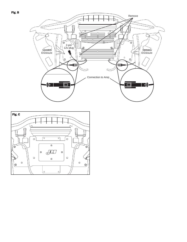

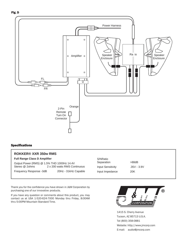



#### Specifications

#### **ROKKER® XXR 350w RMS**

|  | Full Range Class D Amplifier |  |  |  |  |
|--|------------------------------|--|--|--|--|
|--|------------------------------|--|--|--|--|

| Output Power (RMS) @ 1.5% THD 1000Hz 14.4V |                              |
|--------------------------------------------|------------------------------|
| Stereo @ 2ohms                             | 2 x 200 watts RMS Continuous |
| Frequency Response -3dB                    | 20Hz - 31kHz Capable         |

| S/NRatio<br>Separation | >88dB         |  |
|------------------------|---------------|--|
| Input Sensitivity      | $.35V - 3.9V$ |  |
| Input Impedance        | 20K           |  |

Thank you for the confidence you have shown in J&M Corporation by purchasing one of our innovative products.

If you have any question or comments about this product, you may contact us at USA 1-520-624-7000 Monday thru Friday, 8:00AM thru 5:00PM Mountain Standard Time.

൫ İ *CORPORATION* 

1415 S. Cherry Avenue Tucson, AZ 85713 U.S.A. Tel (800) 358-0881 Website: [http://www.jmcorp.com](http://www.jmcorp.com/) E-mail: [audio@jmcorp.com](mailto:audio@jmcorp.com)